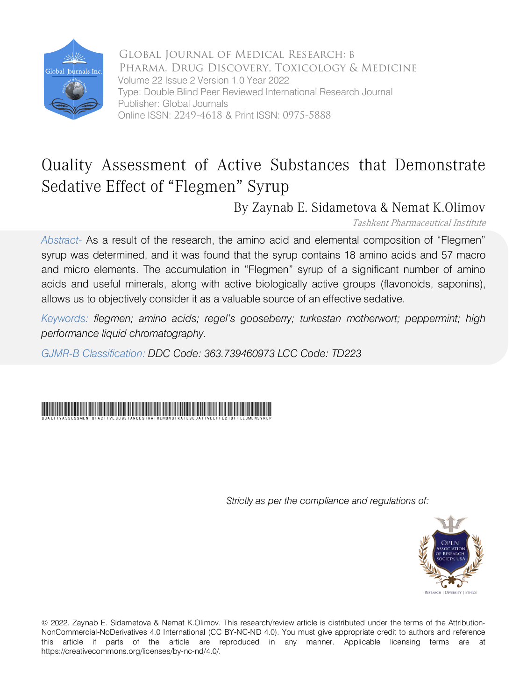

Global Journal of Medical Research: B Pharma, Drug Discovery, Toxicology & Medicine Volume 22 Issue 2 Version 1.0 Year 2022 Type: Double Blind Peer Reviewed International Research Journal Publisher: Global Journals Online ISSN: 2249-4618 & Print ISSN: 0975-5888

# Quality Assessment of Active Substances that Demonstrate Sedative Effect of "Flegmen" Syrup

By Zaynab E. Sidametova & Nemat K.Olimov

Tashkent Pharmaceutical Institute

*Abstract-* As a result of the research, the amino acid and elemental composition of "Flegmen" syrup was determined, and it was found that the syrup contains 18 amino acids and 57 macro and micro elements. The accumulation in "Flegmen" syrup of a significant number of amino acids and useful minerals, along with active biologically active groups (flavonoids, saponins), allows us to objectively consider it as a valuable source of an effective sedative.

*Keywords: flegmen; amino acids; regel's gooseberry; turkestan motherwort; peppermint; high performance liquid chromatography.*

*GJMR-B Classification: DDC Code: 363.739460973 LCC Code: TD223*

# QualityAssessmentofActiveSubstancesthatDemonstrateSedativeEffectofFlegmenSyrup

*Strictly as per the compliance and regulations of:*



© 2022. Zaynab E. Sidametova & Nemat K.Olimov. This research/review article is distributed under the terms of the Attribution-NonCommercial-NoDerivatives 4.0 International (CC BY-NC-ND 4.0). You must give appropriate credit to authors and reference this article if parts of the article are reproduced in any manner. Applicable licensing terms are at https://creativecommons.org/licenses/by-nc-nd/4.0/.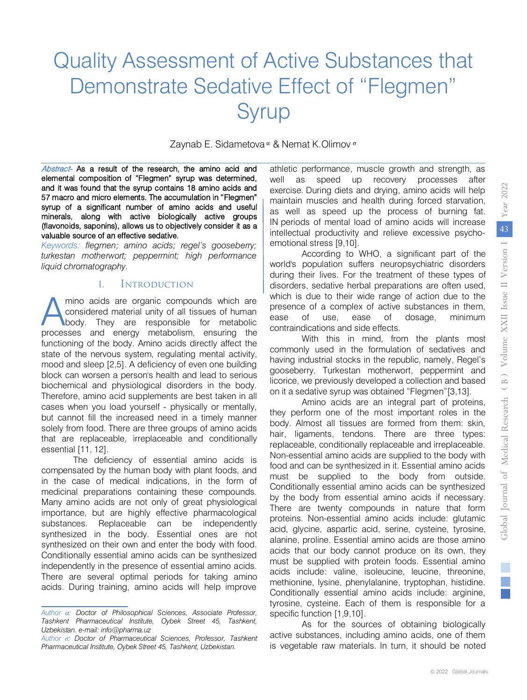# Quality Assessment of Active Substances that Demonstrate Sedative Effect of "Flegmen" Syrup

Zaynab E. Sidametova <sup>α</sup> & Nemat K.Olimov <sup>σ</sup>

Abstract- As a result of the research, the amino acid and elemental composition of "Flegmen" syrup was determined, and it was found that the syrup contains 18 amino acids and 57 macro and micro elements. The accumulation in "Flegmen" syrup of a significant number of amino acids and useful minerals, along with active biologically active groups (flavonoids, saponins), allows us to objectively consider it as a valuable source of an effective sedative.

*Keywords: flegmen; amino acids; regel's gooseberry; turkestan motherwort; peppermint; high performance liquid chromatography.*

### I. Introduction

mino acids are organic compounds which are considered material unity of all tissues of human body. They are responsible for metabolic mino acids are organic compounds which are considered material unity of all tissues of human body. They are responsible for metabolic processes and energy metabolism, ensuring the functioning of the body. Amino acids directly affect the state of the nervous system, regulating mental activity, mood and sleep [2,5]. A deficiency of even one building block can worsen a person's health and lead to serious biochemical and physiological disorders in the body. Therefore, amino acid supplements are best taken in all cases when you load yourself - physically or mentally, but cannot fill the increased need in a timely manner solely from food. There are three groups of amino acids that are replaceable, irreplaceable and conditionally essential [11, 12].

The deficiency of essential amino acids is compensated by the human body with plant foods, and in the case of medical indications, in the form of medicinal preparations containing these compounds. Many amino acids are not only of great physiological importance, but are highly effective pharmacological substances. Replaceable can be independently synthesized in the body. Essential ones are not synthesized on their own and enter the body with food. Conditionally essential amino acids can be synthesized independently in the presence of essential amino acids. There are several optimal periods for taking amino acids. During training, amino acids will help improve

athletic performance, muscle growth and strength, as well as speed up recovery processes after exercise. During diets and drying, amino acids will help maintain muscles and health during forced starvation, as well as speed up the process of burning fat. IN periods of mental load of amino acids will increase intellectual productivity and relieve excessive psychoemotional stress [9,10].

According to WHO, a significant part of the world's population suffers neuropsychiatric disorders during their lives. For the treatment of these types of disorders, sedative herbal preparations are often used, which is due to their wide range of action due to the presence of a complex of active substances in them, ease of use, ease of dosage, minimum contraindications and side effects.

With this in mind, from the plants most commonly used in the formulation of sedatives and having industrial stocks in the republic, namely, Regel's gooseberry, Turkestan motherwort, peppermint and licorice, we previously developed a collection and based on it a sedative syrup was obtained "Flegmen"[3,13].

Amino acids are an integral part of proteins, they perform one of the most important roles in the body. Almost all tissues are formed from them: skin, hair, ligaments, tendons. There are three types: replaceable, conditionally replaceable and irreplaceable. Non-essential amino acids are supplied to the body with food and can be synthesized in it. Essential amino acids must be supplied to the body from outside. Conditionally essential amino acids can be synthesized by the body from essential amino acids if necessary. There are twenty compounds in nature that form proteins. Non-essential amino acids include: glutamic acid, glycine, aspartic acid, serine, cysteine, tyrosine, alanine, proline. Essential amino acids are those amino acids that our body cannot produce on its own, they must be supplied with protein foods. Essential amino acids include: valine, isoleucine, leucine, threonine, methionine, lysine, phenylalanine, tryptophan, histidine. Conditionally essential amino acids include: arginine, tyrosine, cysteine. Each of them is responsible for a specific function [1,9,10].

As for the sources of obtaining biologically active substances, including amino acids, one of them is vegetable raw materials. In turn, it should be noted

*Author α: Doctor of Philosophical Sciences, Associate Professor, Tashkent Pharmaceutical Institute, Oybek Street 45, Tashkent, Uzbekistan. e-mail: info@pharma.uz*

 *Author σ: Doctor of Pharmaceutical Sciences, Professor, Tashkent Pharmaceutical Institute, Oybek Street 45, Tashkent, Uzbekistan.*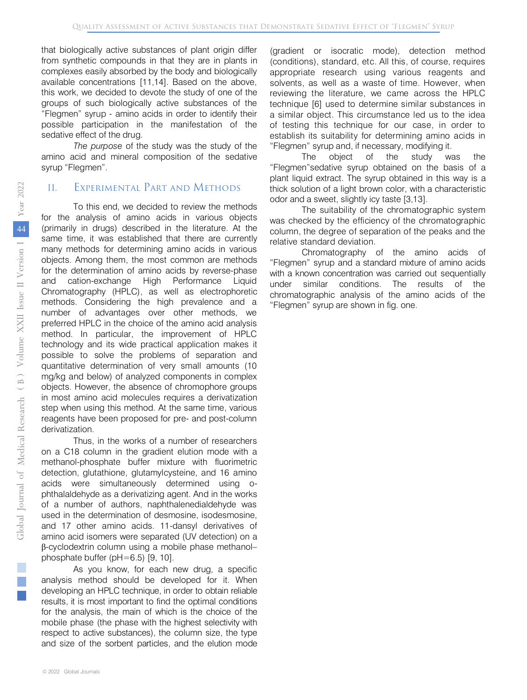"Flegmen" syrup - amino acids in order to identify their that biologically active substances of plant origin differ from synthetic compounds in that they are in plants in complexes easily absorbed by the body and biologically available concentrations [11,14]. Based on the above, this work, we decided to devote the study of one of the groups of such biologically active substances of the possible participation in the manifestation of the sedative effect of the drug.

*The purpose* of the study was the study of the amino acid and mineral composition of the sedative syrup "Flegmen".

#### II. Experimental Part and Methods

To this end, we decided to review the methods for the analysis of amino acids in various objects (primarily in drugs) described in the literature. At the same time, it was established that there are currently many methods for determining amino acids in various objects. Among them, the most common are methods for the determination of amino acids by reverse-phase and cation-exchange High Performance Liquid Chromatography (HPLC), as well as electrophoretic methods. Considering the high prevalence and a number of advantages over other methods, we preferred HPLC in the choice of the amino acid analysis method. In particular, the improvement of HPLC technology and its wide practical application makes it possible to solve the problems of separation and quantitative determination of very small amounts (10 mg/kg and below) of analyzed components in complex objects. However, the absence of chromophore groups in most amino acid molecules requires a derivatization step when using this method. At the same time, various reagents have been proposed for pre- and post-column derivatization.

Thus, in the works of a number of researchers on a C18 column in the gradient elution mode with a methanol-phosphate buffer mixture with fluorimetric detection, glutathione, glutamylcysteine, and 16 amino acids were simultaneously determined using ophthalaldehyde as a derivatizing agent. And in the works of a number of authors, naphthalenedialdehyde was used in the determination of desmosine, isodesmosine, and 17 other amino acids. 11-dansyl derivatives of amino acid isomers were separated (UV detection) on a β-cyclodextrin column using a mobile phase methanol– phosphate buffer (pH=6.5) [9, 10].

As you know, for each new drug, a specific analysis method should be developed for it. When developing an HPLC technique, in order to obtain reliable results, it is most important to find the optimal conditions for the analysis, the main of which is the choice of the mobile phase (the phase with the highest selectivity with respect to active substances), the column size, the type and size of the sorbent particles, and the elution mode

(gradient or isocratic mode), detection method (conditions), standard, etc. All this, of course, requires appropriate research using various reagents and solvents, as well as a waste of time. However, when reviewing the literature, we came across the HPLC technique [6] used to determine similar substances in a similar object. This circumstance led us to the idea of testing this technique for our case, in order to establish its suitability for determining amino acids in "Flegmen" syrup and, if necessary, modifying it.

The object of the study was the "Flegmen"sedative syrup obtained on the basis of a plant liquid extract. The syrup obtained in this way is a thick solution of a light brown color, with a characteristic odor and a sweet, slightly icy taste [3,13].

The suitability of the chromatographic system was checked by the efficiency of the chromatographic column, the degree of separation of the peaks and the relative standard deviation.

Chromatography of the amino acids of "Flegmen" syrup and a standard mixture of amino acids with a known concentration was carried out sequentially under similar conditions. The results of the chromatographic analysis of the amino acids of the "Flegmen" syrup are shown in fig. one.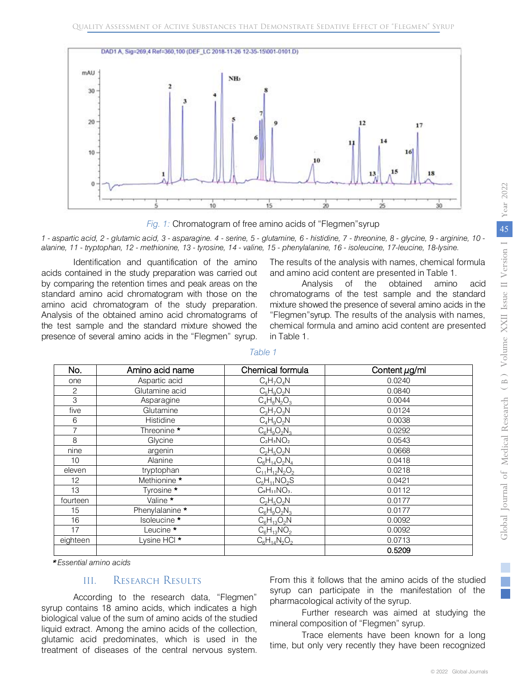



*1 - aspartic acid, 2 - glutamic acid, 3 - asparagine. 4 - serine, 5 - glutamine, 6 - histidine, 7 - threonine, 8 - glycine, 9 - arginine, 10 alanine, 11 - tryptophan, 12 - methionine, 13 - tyrosine, 14 - valine, 15 - phenylalanine, 16 - isoleucine, 17-leucine, 18-lysine.*

Identification and quantification of the amino acids contained in the study preparation was carried out by comparing the retention times and peak areas on the standard amino acid chromatogram with those on the amino acid chromatogram of the study preparation. Analysis of the obtained amino acid chromatograms of the test sample and the standard mixture showed the presence of several amino acids in the "Flegmen" syrup.

The results of the analysis with names, chemical formula and amino acid content are presented in Table 1.

Analysis of the obtained amino acid chromatograms of the test sample and the standard mixture showed the presence of several amino acids in the "Flegmen"syrup. The results of the analysis with names, chemical formula and amino acid content are presented in Table 1.

| No.      | Amino acid name         | Chemical formula     | Content $\mu$ g/ml |  |
|----------|-------------------------|----------------------|--------------------|--|
| one      | Aspartic acid           | $C_4H_7O_4N$         | 0.0240             |  |
| 2        | Glutamine acid          | $C_5H_9O_2N$         | 0.0840             |  |
| 3        | Asparagine              | $C_4H_8N_2O_3$       | 0.0044             |  |
| five     | Glutamine               | $C_3H_7O_3N$         | 0.0124             |  |
| 6        | Histidine               | $C_4H_9O_2N$         | 0.0038             |  |
| 7        | Threonine *             | $C_6H_9O_2N_3$       | 0.0292             |  |
| 8        | Glycine                 | $C_2H_5NO_2$         | 0.0543             |  |
| nine     | argenin                 | $C_2H_5O_2N$         | 0.0668             |  |
| 10       | Alanine                 | $C_6H_{14}O_2N_4$    | 0.0418             |  |
| eleven   | tryptophan              | $C_{11}H_{12}N_2O_2$ | 0.0218             |  |
| 12       | Methionine *            | $C_5H_{11}NO_2S$     | 0.0421             |  |
| 13       | Tyrosine *              | CoH11NO3.            | 0.0112             |  |
| fourteen | Valine *                | $C_2H_5O_2N$         | 0.0177             |  |
| 15       | Phenylalanine *         | $C_6H_9O_2N_3$       | 0.0177             |  |
| 16       | Isoleucine *            | $C_6H_{13}O_2N$      | 0.0092             |  |
| 17       | Leucine *               | $C_6H_{13}NO_2$      | 0.0092             |  |
| eighteen | Lysine HCI <sup>*</sup> | $C_6H_{14}N_2O_2$    | 0.0713             |  |
|          |                         |                      | 0.5209             |  |

*Table 1*

\* *Essential amino acids*

## III. Research Results

According to the research data, "Flegmen" syrup contains 18 amino acids, which indicates a high biological value of the sum of amino acids of the studied liquid extract. Among the amino acids of the collection, glutamic acid predominates, which is used in the treatment of diseases of the central nervous system.

From this it follows that the amino acids of the studied syrup can participate in the manifestation of the pharmacological activity of the syrup.

Further research was aimed at studying the mineral composition of "Flegmen" syrup.

Trace elements have been known for a long time, but only very recently they have been recognized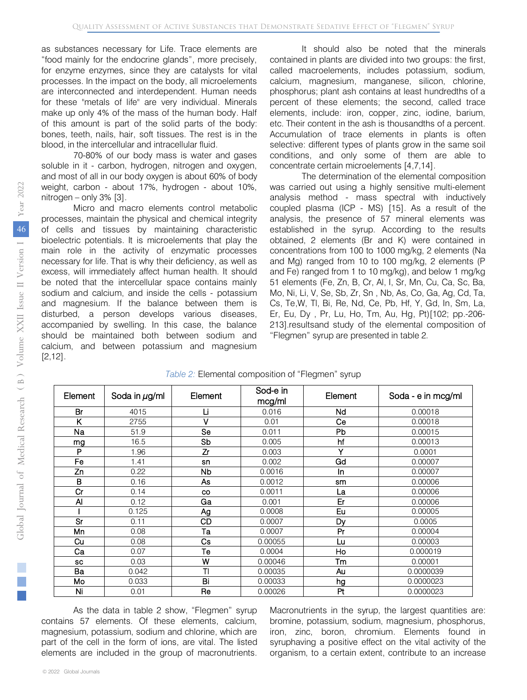as substances necessary for Life. Trace elements are "food mainly for the endocrine glands", more precisely, for enzyme enzymes, since they are catalysts for vital processes. In the impact on the body, all microelements are interconnected and interdependent. Human needs for these "metals of life" are very individual. Minerals make up only 4% of the mass of the human body. Half of this amount is part of the solid parts of the body: bones, teeth, nails, hair, soft tissues. The rest is in the blood, in the intercellular and intracellular fluid.

70-80% of our body mass is water and gases soluble in it - carbon, hydrogen, nitrogen and oxygen, and most of all in our body oxygen is about 60% of body weight, carbon - about 17%, hydrogen - about 10%, nitrogen – only  $3\%$  [3].

Micro and macro elements control metabolic processes, maintain the physical and chemical integrity of cells and tissues by maintaining characteristic bioelectric potentials. It is microelements that play the main role in the activity of enzymatic processes necessary for life. That is why their deficiency, as well as excess, will immediately affect human health. It should be noted that the intercellular space contains mainly sodium and calcium, and inside the cells - potassium and magnesium. If the balance between them is disturbed, a person develops various diseases, accompanied by swelling. In this case, the balance should be maintained both between sodium and calcium, and between potassium and magnesium [2,12].

It should also be noted that the minerals contained in plants are divided into two groups: the first, called macroelements, includes potassium, sodium, calcium, magnesium, manganese, silicon, chlorine, phosphorus; plant ash contains at least hundredths of a percent of these elements; the second, called trace elements, include: iron, copper, zinc, iodine, barium, etc. Their content in the ash is thousandths of a percent. Accumulation of trace elements in plants is often selective: different types of plants grow in the same soil conditions, and only some of them are able to concentrate certain microelements [4,7,14].

The determination of the elemental composition was carried out using a highly sensitive multi-element analysis method - mass spectral with inductively coupled plasma (ICP - MS) [15]. As a result of the analysis, the presence of 57 mineral elements was established in the syrup. According to the results obtained, 2 elements (Br and K) were contained in concentrations from 100 to 1000 mg/kg, 2 elements (Na and Mg) ranged from 10 to 100 mg/kg, 2 elements (P and Fe) ranged from 1 to 10 mg/kg), and below 1 mg/kg 51 elements (Fe, Zn, B, Cr, Al, I, Sr, Mn, Cu, Ca, Sc, Ba, Mo, Ni, Li, V, Se, Sb, Zr, Sn , Nb, As, Co, Ga, Ag, Cd, Ta, Cs, Te,W, Tl, Bi, Re, Nd, Ce, Pb, Hf, Y, Gd, In, Sm, La, Er, Eu, Dy , Pr, Lu, Ho, Tm, Au, Hg, Pt)[102; pp.-206- 213].resultsand study of the elemental composition of "Flegmen" syrup are presented in table 2 .

| Element   | Soda in $\mu$ g/ml | Element   | Sod-e in<br>mcg/ml | Element   | Soda - e in mcg/ml |
|-----------|--------------------|-----------|--------------------|-----------|--------------------|
| Br        | 4015               | Li        | 0.016              | Nd        | 0.00018            |
| Κ         | 2755               | v         | 0.01               | Ce        | 0.00018            |
| Na        | 51.9               | Se        | 0.011              | <b>Pb</b> | 0.00015            |
| mg        | 16.5               | Sb        | 0.005              | hf        | 0.00013            |
| P         | 1.96               | Zr        | 0.003              | ٧         | 0.0001             |
| Fe        | 1.41               | sn        | 0.002              | Gd        | 0.00007            |
| Zn        | 0.22               | Nb        | 0.0016             | In        | 0.00007            |
| в         | 0.16               | As        | 0.0012             | sm        | 0.00006            |
| Cr        | 0.14               | <b>CO</b> | 0.0011             | La        | 0.00006            |
| Al        | 0.12               | Ga        | 0.001              | Er        | 0.00006            |
|           | 0.125              | Ag        | 0.0008             | Eu        | 0.00005            |
| Sr        | 0.11               | CD        | 0.0007             | Dy        | 0.0005             |
| Mn        | 0.08               | Та        | 0.0007             | Pr        | 0.00004            |
| Cu        | 0.08               | Сs        | 0.00055            | Lu        | 0.00003            |
| Ca        | 0.07               | Тe        | 0.0004             | Ho        | 0.000019           |
| <b>SC</b> | 0.03               | W         | 0.00046            | Tm        | 0.00001            |
| Ba        | 0.042              | TI        | 0.00035            | Au        | 0.0000039          |
| Mo        | 0.033              | Bi        | 0.00033            | hg        | 0.0000023          |
| Ni        | 0.01               | Re        | 0.00026            | Pt        | 0.0000023          |

*Table 2:* Elemental composition of "Flegmen" syrup

As the data in table 2 show, "Flegmen" syrup contains 57 elements. Of these elements, calcium, magnesium, potassium, sodium and chlorine, which are part of the cell in the form of ions, are vital. The listed elements are included in the group of macronutrients.

Macronutrients in the syrup, the largest quantities are: bromine, potassium, sodium, magnesium, phosphorus, iron, zinc, boron, chromium. Elements found in syruphaving a positive effect on the vital activity of the organism, to a certain extent, contribute to an increase

F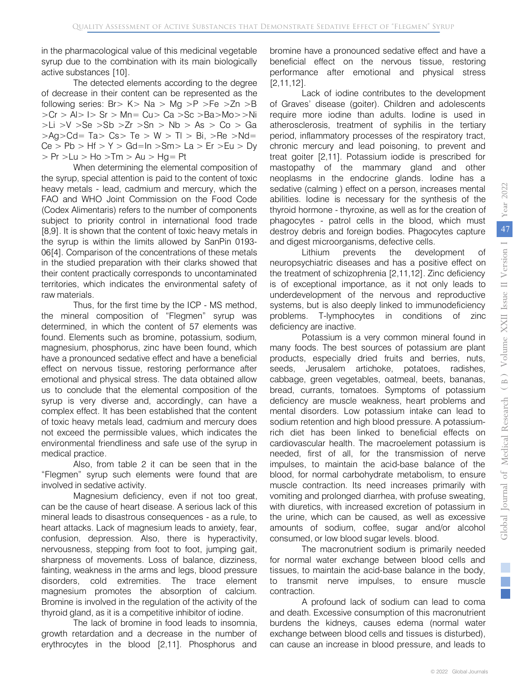in the pharmacological value of this medicinal vegetable syrup due to the combination with its main biologically active substances [10].

The detected elements according to the degree of decrease in their content can be represented as the following series:  $Br > K > Na > Mg > P > Fe > Zn > B$ >Cr > Al> I> Sr > Mn= Cu> Ca >Sc >Ba>Mo>>Ni  $>$ Li  $>$ V  $>$ Se  $>$ Sb  $>$ Zr  $>$ Sn  $>$  Nb  $>$  As  $>$  Co  $>$  Ga  $>Aq > Cd = Ta > Cs > Te > W > Tl > Bi, >Re > Nd =$  $Ce > Pb > Hf > Y > Gd=In >Sm > La > Er > Eu > Dy$  $> Pr$  > Lu > Ho > Tm > Au > Hg = Pt

When determining the elemental composition of the syrup, special attention is paid to the content of toxic heavy metals - lead, cadmium and mercury, which the FAO and WHO Joint Commission on the Food Code (Codex Alimentaris) refers to the number of components subject to priority control in international food trade [8,9]. It is shown that the content of toxic heavy metals in the syrup is within the limits allowed by SanPin 0193- 06[4]. Comparison of the concentrations of these metals in the studied preparation with their clarks showed that their content practically corresponds to uncontaminated territories, which indicates the environmental safety of raw materials.

Thus, for the first time by the ICP - MS method, the mineral composition of "Flegmen" syrup was determined, in which the content of 57 elements was found. Elements such as bromine, potassium, sodium, magnesium, phosphorus, zinc have been found, which have a pronounced sedative effect and have a beneficial effect on nervous tissue, restoring performance after emotional and physical stress. The data obtained allow us to conclude that the elemental composition of the syrup is very diverse and, accordingly, can have a complex effect. It has been established that the content of toxic heavy metals lead, cadmium and mercury does not exceed the permissible values, which indicates the environmental friendliness and safe use of the syrup in medical practice.

Also, from table 2 it can be seen that in the "Flegmen" syrup such elements were found that are involved in sedative activity.

Magnesium deficiency, even if not too great, can be the cause of heart disease. A serious lack of this mineral leads to disastrous consequences - as a rule, to heart attacks. Lack of magnesium leads to anxiety, fear, confusion, depression. Also, there is hyperactivity, nervousness, stepping from foot to foot, jumping gait, sharpness of movements. Loss of balance, dizziness, fainting, weakness in the arms and legs, blood pressure disorders, cold extremities. The trace element magnesium promotes the absorption of calcium. Bromine is involved in the regulation of the activity of the thyroid gland, as it is a competitive inhibitor of iodine.

The lack of bromine in food leads to insomnia, growth retardation and a decrease in the number of erythrocytes in the blood [2,11]. Phosphorus and bromine have a pronounced sedative effect and have a beneficial effect on the nervous tissue, restoring performance after emotional and physical stress [2,11,12].

Lack of iodine contributes to the development of Graves' disease (goiter). Children and adolescents require more iodine than adults. Iodine is used in atherosclerosis, treatment of syphilis in the tertiary period, inflammatory processes of the respiratory tract, chronic mercury and lead poisoning, to prevent and treat goiter [2,11]. Potassium iodide is prescribed for mastopathy of the mammary gland and other neoplasms in the endocrine glands. Iodine has a sedative (calming ) effect on a person, increases mental abilities. Iodine is necessary for the synthesis of the thyroid hormone - thyroxine, as well as for the creation of phagocytes - patrol cells in the blood, which must destroy debris and foreign bodies. Phagocytes capture and digest microorganisms, defective cells.

Lithium prevents the development of neuropsychiatric diseases and has a positive effect on the treatment of schizophrenia [2,11,12]. Zinc deficiency is of exceptional importance, as it not only leads to underdevelopment of the nervous and reproductive systems, but is also deeply linked to immunodeficiency problems. T-lymphocytes in conditions of zinc deficiency are inactive.

Potassium is a very common mineral found in many foods. The best sources of potassium are plant products, especially dried fruits and berries, nuts, seeds, Jerusalem artichoke, potatoes, radishes, cabbage, green vegetables, oatmeal, beets, bananas, bread, currants, tomatoes. Symptoms of potassium deficiency are muscle weakness, heart problems and mental disorders. Low potassium intake can lead to sodium retention and high blood pressure. A potassiumrich diet has been linked to beneficial effects on cardiovascular health. The macroelement potassium is needed, first of all, for the transmission of nerve impulses, to maintain the acid-base balance of the blood, for normal carbohydrate metabolism, to ensure muscle contraction. Its need increases primarily with vomiting and prolonged diarrhea, with profuse sweating, with diuretics, with increased excretion of potassium in the urine, which can be caused, as well as excessive amounts of sodium, coffee, sugar and/or alcohol consumed, or low blood sugar levels. blood.

The macronutrient sodium is primarily needed for normal water exchange between blood cells and tissues, to maintain the acid-base balance in the body, to transmit nerve impulses, to ensure muscle contraction.

A profound lack of sodium can lead to coma and death. Excessive consumption of this macronutrient burdens the kidneys, causes edema (normal water exchange between blood cells and tissues is disturbed), can cause an increase in blood pressure, and leads to